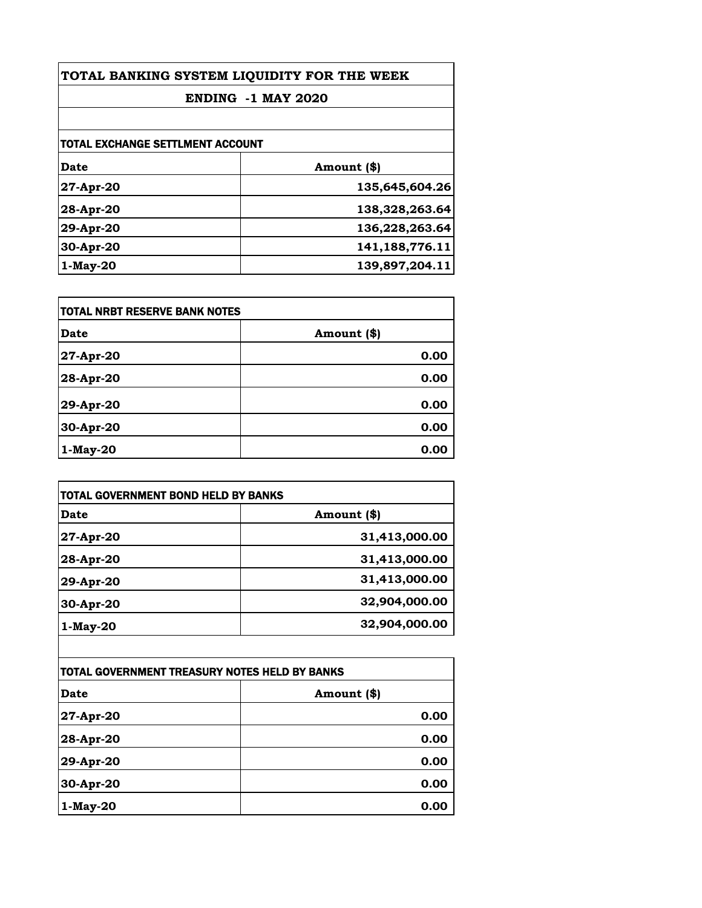| TOTAL BANKING SYSTEM LIQUIDITY FOR THE WEEK |                |
|---------------------------------------------|----------------|
| <b>ENDING -1 MAY 2020</b>                   |                |
|                                             |                |
| <b>TOTAL EXCHANGE SETTLMENT ACCOUNT</b>     |                |
| Date                                        | Amount (\$)    |
| 27-Apr-20                                   | 135,645,604.26 |
| 28-Apr-20                                   | 138,328,263.64 |
| 29-Apr-20                                   | 136,228,263.64 |
| 30-Apr-20                                   | 141,188,776.11 |
| 1-May-20                                    | 139,897,204.11 |

| <b>TOTAL NRBT RESERVE BANK NOTES</b> |             |
|--------------------------------------|-------------|
| Date                                 | Amount (\$) |
| 27-Apr-20                            | 0.00        |
| 28-Apr-20                            | 0.00        |
| 29-Apr-20                            | 0.00        |
| 30-Apr-20                            | 0.00        |
| 1-May-20                             | 0.00        |

| <b>TOTAL GOVERNMENT BOND HELD BY BANKS</b> |               |
|--------------------------------------------|---------------|
| Date                                       | Amount (\$)   |
| 27-Apr-20                                  | 31,413,000.00 |
| 28-Apr-20                                  | 31,413,000.00 |
| 29-Apr-20                                  | 31,413,000.00 |
| 30-Apr-20                                  | 32,904,000.00 |
| 1-May-20                                   | 32,904,000.00 |

| TOTAL GOVERNMENT TREASURY NOTES HELD BY BANKS |             |
|-----------------------------------------------|-------------|
| Date                                          | Amount (\$) |
| 27-Apr-20                                     | 0.00        |
| 28-Apr-20                                     | 0.00        |
| 29-Apr-20                                     | 0.00        |
| 30-Apr-20                                     | 0.00        |
| 1-May-20                                      | 0.00        |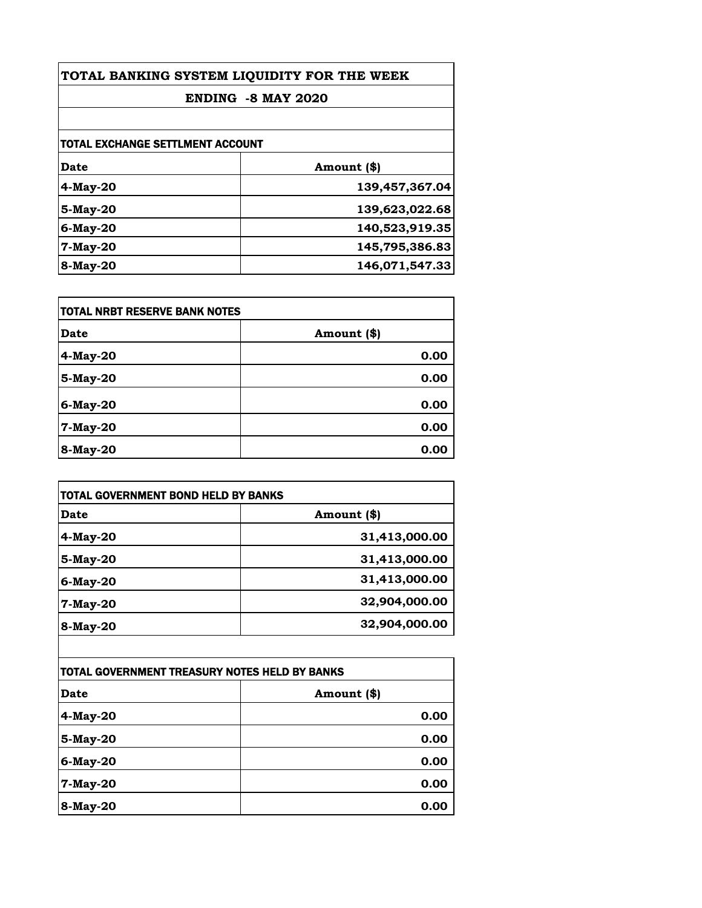| TOTAL BANKING SYSTEM LIQUIDITY FOR THE WEEK |                           |
|---------------------------------------------|---------------------------|
|                                             | <b>ENDING -8 MAY 2020</b> |
|                                             |                           |
| TOTAL EXCHANGE SETTLMENT ACCOUNT            |                           |
| Date                                        | Amount (\$)               |
| $4$ -May-20                                 | 139,457,367.04            |
| 5-May-20                                    | 139,623,022.68            |
| 6-May-20                                    | 140,523,919.35            |
| 7-May-20                                    | 145,795,386.83            |
| 8-May-20                                    | 146,071,547.33            |

| <b>TOTAL NRBT RESERVE BANK NOTES</b> |             |
|--------------------------------------|-------------|
| Date                                 | Amount (\$) |
| 4-May-20                             | 0.00        |
| 5-May-20                             | 0.00        |
| 6-May-20                             | 0.00        |
| 7-May-20                             | 0.00        |
| 8-May-20                             | 0.00        |

| <b>TOTAL GOVERNMENT BOND HELD BY BANKS</b> |               |
|--------------------------------------------|---------------|
| Date                                       | Amount (\$)   |
| 4-May-20                                   | 31,413,000.00 |
| 5-May-20                                   | 31,413,000.00 |
| 6-May-20                                   | 31,413,000.00 |
| 7-May-20                                   | 32,904,000.00 |
| 8-May-20                                   | 32,904,000.00 |

| TOTAL GOVERNMENT TREASURY NOTES HELD BY BANKS |             |
|-----------------------------------------------|-------------|
| Date                                          | Amount (\$) |
| 4-May-20                                      | 0.00        |
| 5-May-20                                      | 0.00        |
| 6-May-20                                      | 0.00        |
| 7-May-20                                      | 0.00        |
| 8-May-20                                      | 0.00        |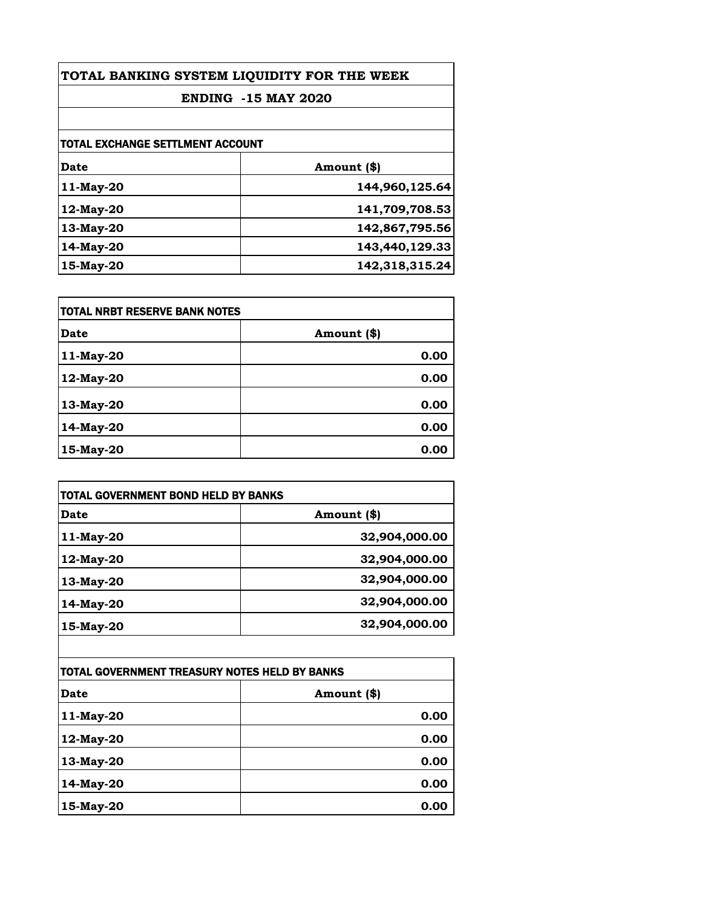| TOTAL BANKING SYSTEM LIQUIDITY FOR THE WEEK |                |
|---------------------------------------------|----------------|
| <b>ENDING -15 MAY 2020</b>                  |                |
|                                             |                |
| <b>TOTAL EXCHANGE SETTLMENT ACCOUNT</b>     |                |
| Date                                        | Amount (\$)    |
| 11-May-20                                   | 144,960,125.64 |
| 12-May-20                                   | 141,709,708.53 |
| 13-May-20                                   | 142,867,795.56 |
| 14-May-20                                   | 143,440,129.33 |
| 15-May-20                                   | 142,318,315.24 |

| <b>TOTAL NRBT RESERVE BANK NOTES</b> |             |
|--------------------------------------|-------------|
| Date                                 | Amount (\$) |
| 11-May-20                            | 0.00        |
| 12-May-20                            | 0.00        |
| 13-May-20                            | 0.00        |
| 14-May-20                            | 0.00        |
| 15-May-20                            | 0.00        |

| <b>TOTAL GOVERNMENT BOND HELD BY BANKS</b> |               |
|--------------------------------------------|---------------|
| Date                                       | Amount (\$)   |
| 11-May-20                                  | 32,904,000.00 |
| 12-May-20                                  | 32,904,000.00 |
| 13-May-20                                  | 32,904,000.00 |
| 14-May-20                                  | 32,904,000.00 |
| 15-May-20                                  | 32,904,000.00 |

| TOTAL GOVERNMENT TREASURY NOTES HELD BY BANKS |             |
|-----------------------------------------------|-------------|
| Date                                          | Amount (\$) |
| 11-May-20                                     | 0.00        |
| 12-May-20                                     | 0.00        |
| 13-May-20                                     | 0.00        |
| 14-May-20                                     | 0.00        |
| 15-May-20                                     | 0.00        |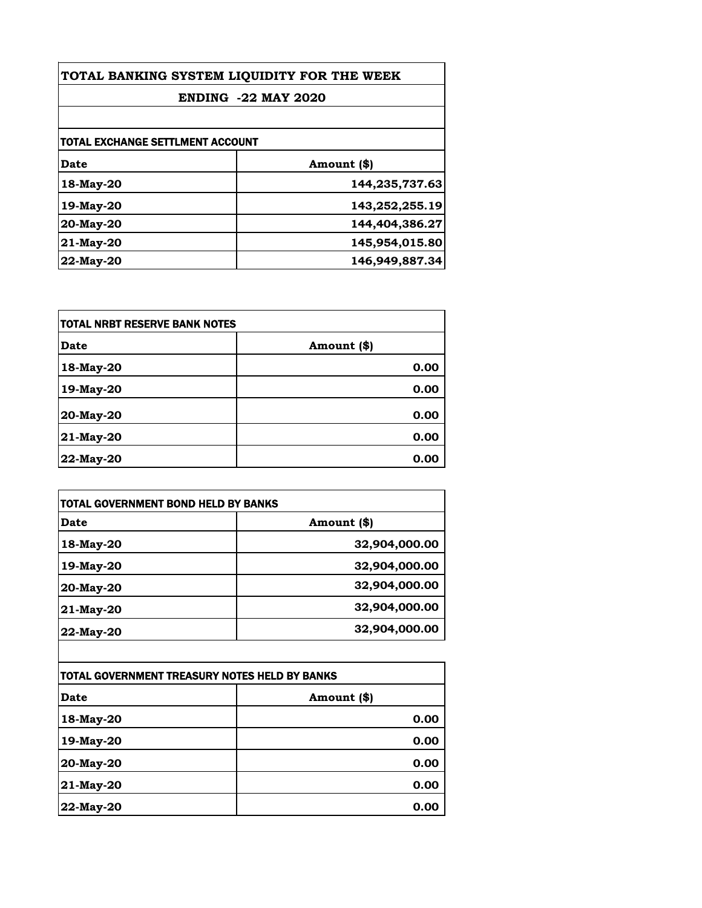| TOTAL BANKING SYSTEM LIQUIDITY FOR THE WEEK<br><b>ENDING -22 MAY 2020</b> |                |  |
|---------------------------------------------------------------------------|----------------|--|
|                                                                           |                |  |
| TOTAL EXCHANGE SETTLMENT ACCOUNT                                          |                |  |
| Date                                                                      | Amount (\$)    |  |
| 18-May-20                                                                 | 144,235,737.63 |  |
| 19-May-20                                                                 | 143,252,255.19 |  |
| 20-May-20                                                                 | 144,404,386.27 |  |
| $21$ -May-20                                                              | 145,954,015.80 |  |
| 22-May-20                                                                 | 146,949,887.34 |  |

| TOTAL NRBT RESERVE BANK NOTES |             |
|-------------------------------|-------------|
| Date                          | Amount (\$) |
| 18-May-20                     | 0.00        |
| 19-May-20                     | 0.00        |
| 20-May-20                     | 0.00        |
| 21-May-20                     | 0.00        |
| 22-May-20                     | 0.00        |

| TOTAL GOVERNMENT BOND HELD BY BANKS |               |
|-------------------------------------|---------------|
| Date                                | Amount (\$)   |
| 18-May-20                           | 32,904,000.00 |
| 19-May-20                           | 32,904,000.00 |
| 20-May-20                           | 32,904,000.00 |
| 21-May-20                           | 32,904,000.00 |
| 22-May-20                           | 32,904,000.00 |

| TOTAL GOVERNMENT TREASURY NOTES HELD BY BANKS |             |
|-----------------------------------------------|-------------|
| Date                                          | Amount (\$) |
| 18-May-20                                     | 0.00        |
| 19-May-20                                     | 0.00        |
| 20-May-20                                     | 0.00        |
| 21-May-20                                     | 0.00        |
| 22-May-20                                     | 0.00        |